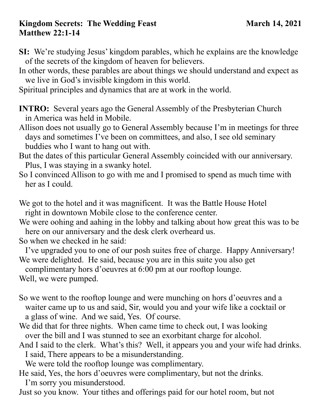## **Kingdom Secrets: The Wedding Feast March 14, 2021 Matthew 22:1-14**

- **SI:** We're studying Jesus' kingdom parables, which he explains are the knowledge of the secrets of the kingdom of heaven for believers.
- In other words, these parables are about things we should understand and expect as we live in God's invisible kingdom in this world.

Spiritual principles and dynamics that are at work in the world.

- **INTRO:** Several years ago the General Assembly of the Presbyterian Church in America was held in Mobile.
- Allison does not usually go to General Assembly because I'm in meetings for three days and sometimes I've been on committees, and also, I see old seminary buddies who I want to hang out with.
- But the dates of this particular General Assembly coincided with our anniversary. Plus, I was staying in a swanky hotel.
- So I convinced Allison to go with me and I promised to spend as much time with her as I could.
- We got to the hotel and it was magnificent. It was the Battle House Hotel right in downtown Mobile close to the conference center.
- We were oohing and aahing in the lobby and talking about how great this was to be here on our anniversary and the desk clerk overheard us.

So when we checked in he said:

 I've upgraded you to one of our posh suites free of charge. Happy Anniversary! We were delighted. He said, because you are in this suite you also get

complimentary hors d'oeuvres at 6:00 pm at our rooftop lounge.

Well, we were pumped.

- So we went to the rooftop lounge and were munching on hors d'oeuvres and a waiter came up to us and said, Sir, would you and your wife like a cocktail or a glass of wine. And we said, Yes. Of course.
- We did that for three nights. When came time to check out, I was looking over the bill and I was stunned to see an exorbitant charge for alcohol.
- And I said to the clerk. What's this? Well, it appears you and your wife had drinks. I said, There appears to be a misunderstanding.

We were told the rooftop lounge was complimentary.

He said, Yes, the hors d'oeuvres were complimentary, but not the drinks. I'm sorry you misunderstood.

Just so you know. Your tithes and offerings paid for our hotel room, but not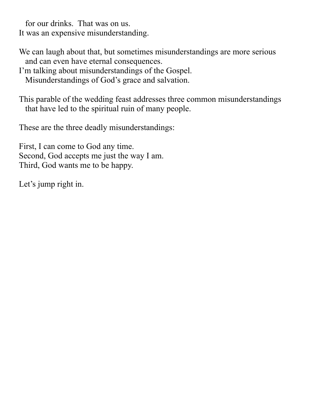for our drinks. That was on us. It was an expensive misunderstanding.

We can laugh about that, but sometimes misunderstandings are more serious and can even have eternal consequences.

I'm talking about misunderstandings of the Gospel. Misunderstandings of God's grace and salvation.

This parable of the wedding feast addresses three common misunderstandings that have led to the spiritual ruin of many people.

These are the three deadly misunderstandings:

First, I can come to God any time. Second, God accepts me just the way I am. Third, God wants me to be happy.

Let's jump right in.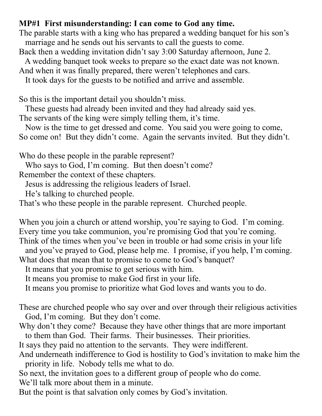## **MP#1 First misunderstanding: I can come to God any time.**

The parable starts with a king who has prepared a wedding banquet for his son's marriage and he sends out his servants to call the guests to come.

Back then a wedding invitation didn't say 3:00 Saturday afternoon, June 2.

A wedding banquet took weeks to prepare so the exact date was not known.

And when it was finally prepared, there weren't telephones and cars.

It took days for the guests to be notified and arrive and assemble.

So this is the important detail you shouldn't miss.

These guests had already been invited and they had already said yes.

The servants of the king were simply telling them, it's time.

 Now is the time to get dressed and come. You said you were going to come, So come on! But they didn't come. Again the servants invited. But they didn't.

Who do these people in the parable represent?

Who says to God, I'm coming. But then doesn't come?

Remember the context of these chapters.

Jesus is addressing the religious leaders of Israel.

He's talking to churched people.

That's who these people in the parable represent. Churched people.

When you join a church or attend worship, you're saying to God. I'm coming. Every time you take communion, you're promising God that you're coming. Think of the times when you've been in trouble or had some crisis in your life

 and you've prayed to God, please help me. I promise, if you help, I'm coming. What does that mean that to promise to come to God's banquet?

It means that you promise to get serious with him.

It means you promise to make God first in your life.

It means you promise to prioritize what God loves and wants you to do.

These are churched people who say over and over through their religious activities God, I'm coming. But they don't come.

Why don't they come? Because they have other things that are more important to them than God. Their farms. Their businesses. Their priorities.

It says they paid no attention to the servants. They were indifferent.

And underneath indifference to God is hostility to God's invitation to make him the priority in life. Nobody tells me what to do.

So next, the invitation goes to a different group of people who do come.

We'll talk more about them in a minute.

But the point is that salvation only comes by God's invitation.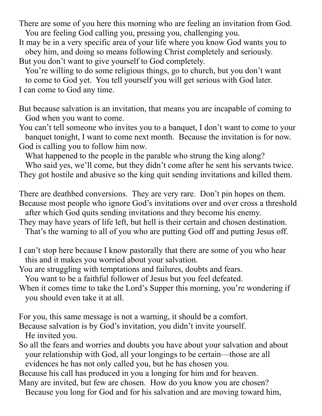There are some of you here this morning who are feeling an invitation from God. You are feeling God calling you, pressing you, challenging you.

It may be in a very specific area of your life where you know God wants you to obey him, and doing so means following Christ completely and seriously. But you don't want to give yourself to God completely.

 You're willing to do some religious things, go to church, but you don't want to come to God yet. You tell yourself you will get serious with God later. I can come to God any time.

But because salvation is an invitation, that means you are incapable of coming to God when you want to come.

You can't tell someone who invites you to a banquet, I don't want to come to your banquet tonight, I want to come next month. Because the invitation is for now. God is calling you to follow him now.

What happened to the people in the parable who strung the king along?

 Who said yes, we'll come, but they didn't come after he sent his servants twice. They got hostile and abusive so the king quit sending invitations and killed them.

There are deathbed conversions. They are very rare. Don't pin hopes on them. Because most people who ignore God's invitations over and over cross a threshold after which God quits sending invitations and they become his enemy.

They may have years of life left, but hell is their certain and chosen destination.

That's the warning to all of you who are putting God off and putting Jesus off.

I can't stop here because I know pastorally that there are some of you who hear this and it makes you worried about your salvation.

You are struggling with temptations and failures, doubts and fears.

You want to be a faithful follower of Jesus but you feel defeated.

When it comes time to take the Lord's Supper this morning, you're wondering if you should even take it at all.

For you, this same message is not a warning, it should be a comfort.

Because salvation is by God's invitation, you didn't invite yourself. He invited you.

So all the fears and worries and doubts you have about your salvation and about your relationship with God, all your longings to be certain—those are all evidences he has not only called you, but he has chosen you.

Because his call has produced in you a longing for him and for heaven. Many are invited, but few are chosen. How do you know you are chosen?

Because you long for God and for his salvation and are moving toward him,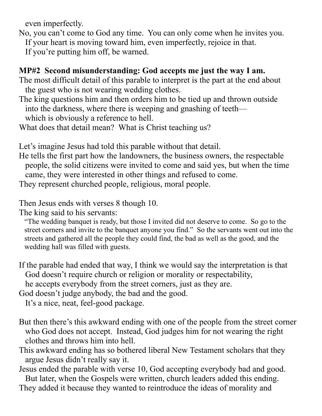even imperfectly.

- No, you can't come to God any time. You can only come when he invites you. If your heart is moving toward him, even imperfectly, rejoice in that.
	- If you're putting him off, be warned.

## **MP#2 Second misunderstanding: God accepts me just the way I am.**

The most difficult detail of this parable to interpret is the part at the end about the guest who is not wearing wedding clothes.

- The king questions him and then orders him to be tied up and thrown outside into the darkness, where there is weeping and gnashing of teeth which is obviously a reference to hell.
- What does that detail mean? What is Christ teaching us?

Let's imagine Jesus had told this parable without that detail.

He tells the first part how the landowners, the business owners, the respectable people, the solid citizens were invited to come and said yes, but when the time came, they were interested in other things and refused to come.

They represent churched people, religious, moral people.

Then Jesus ends with verses 8 though 10.

The king said to his servants:

 "The wedding banquet is ready, but those I invited did not deserve to come. So go to the street corners and invite to the banquet anyone you find." So the servants went out into the streets and gathered all the people they could find, the bad as well as the good, and the wedding hall was filled with guests.

If the parable had ended that way, I think we would say the interpretation is that God doesn't require church or religion or morality or respectability,

he accepts everybody from the street corners, just as they are.

God doesn't judge anybody, the bad and the good.

It's a nice, neat, feel-good package.

- But then there's this awkward ending with one of the people from the street corner who God does not accept. Instead, God judges him for not wearing the right clothes and throws him into hell.
- This awkward ending has so bothered liberal New Testament scholars that they argue Jesus didn't really say it.

Jesus ended the parable with verse 10, God accepting everybody bad and good. But later, when the Gospels were written, church leaders added this ending.

They added it because they wanted to reintroduce the ideas of morality and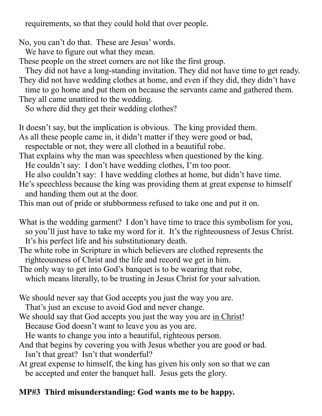requirements, so that they could hold that over people.

No, you can't do that. These are Jesus' words.

We have to figure out what they mean.

These people on the street corners are not like the first group.

 They did not have a long-standing invitation. They did not have time to get ready. They did not have wedding clothes at home, and even if they did, they didn't have time to go home and put them on because the servants came and gathered them.

They all came unattired to the wedding.

So where did they get their wedding clothes?

It doesn't say, but the implication is obvious. The king provided them.

As all these people came in, it didn't matter if they were good or bad,

respectable or not, they were all clothed in a beautiful robe.

That explains why the man was speechless when questioned by the king.

He couldn't say: I don't have wedding clothes, I'm too poor.

He also couldn't say: I have wedding clothes at home, but didn't have time.

He's speechless because the king was providing them at great expense to himself and handing them out at the door.

This man out of pride or stubbornness refused to take one and put it on.

- What is the wedding garment? I don't have time to trace this symbolism for you, so you'll just have to take my word for it. It's the righteousness of Jesus Christ. It's his perfect life and his substitutionary death.
- The white robe in Scripture in which believers are clothed represents the righteousness of Christ and the life and record we get in him.

The only way to get into God's banquet is to be wearing that robe,

which means literally, to be trusting in Jesus Christ for your salvation.

We should never say that God accepts you just the way you are.

That's just an excuse to avoid God and never change.

We should say that God accepts you just the way you are in Christ!

Because God doesn't want to leave you as you are.

He wants to change you into a beautiful, righteous person.

And that begins by covering you with Jesus whether you are good or bad. Isn't that great? Isn't that wonderful?

At great expense to himself, the king has given his only son so that we can be accepted and enter the banquet hall. Jesus gets the glory.

## **MP#3 Third misunderstanding: God wants me to be happy.**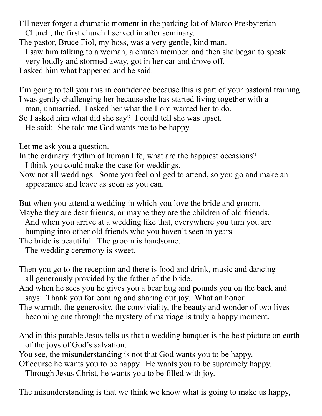I'll never forget a dramatic moment in the parking lot of Marco Presbyterian Church, the first church I served in after seminary.

The pastor, Bruce Fiol, my boss, was a very gentle, kind man.

I saw him talking to a woman, a church member, and then she began to speak

very loudly and stormed away, got in her car and drove off.

I asked him what happened and he said.

I'm going to tell you this in confidence because this is part of your pastoral training. I was gently challenging her because she has started living together with a man, unmarried. I asked her what the Lord wanted her to do.

So I asked him what did she say? I could tell she was upset.

He said: She told me God wants me to be happy.

Let me ask you a question.

In the ordinary rhythm of human life, what are the happiest occasions? I think you could make the case for weddings.

Now not all weddings. Some you feel obliged to attend, so you go and make an appearance and leave as soon as you can.

But when you attend a wedding in which you love the bride and groom. Maybe they are dear friends, or maybe they are the children of old friends. And when you arrive at a wedding like that, everywhere you turn you are bumping into other old friends who you haven't seen in years.

The bride is beautiful. The groom is handsome.

The wedding ceremony is sweet.

- Then you go to the reception and there is food and drink, music and dancing all generously provided by the father of the bride.
- And when he sees you he gives you a bear hug and pounds you on the back and says: Thank you for coming and sharing our joy. What an honor.
- The warmth, the generosity, the conviviality, the beauty and wonder of two lives becoming one through the mystery of marriage is truly a happy moment.
- And in this parable Jesus tells us that a wedding banquet is the best picture on earth of the joys of God's salvation.

You see, the misunderstanding is not that God wants you to be happy.

Of course he wants you to be happy. He wants you to be supremely happy. Through Jesus Christ, he wants you to be filled with joy.

The misunderstanding is that we think we know what is going to make us happy,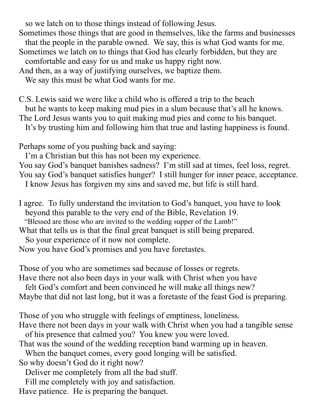so we latch on to those things instead of following Jesus.

Sometimes those things that are good in themselves, like the farms and businesses

 that the people in the parable owned. We say, this is what God wants for me. Sometimes we latch on to things that God has clearly forbidden, but they are

comfortable and easy for us and make us happy right now.

And then, as a way of justifying ourselves, we baptize them.

We say this must be what God wants for me.

C.S. Lewis said we were like a child who is offered a trip to the beach

but he wants to keep making mud pies in a slum because that's all he knows.

The Lord Jesus wants you to quit making mud pies and come to his banquet.

It's by trusting him and following him that true and lasting happiness is found.

Perhaps some of you pushing back and saying:

I'm a Christian but this has not been my experience.

You say God's banquet banishes sadness? I'm still sad at times, feel loss, regret. You say God's banquet satisfies hunger? I still hunger for inner peace, acceptance.

I know Jesus has forgiven my sins and saved me, but life is still hard.

I agree. To fully understand the invitation to God's banquet, you have to look beyond this parable to the very end of the Bible, Revelation 19.

"Blessed are those who are invited to the wedding supper of the Lamb!"

What that tells us is that the final great banquet is still being prepared.

So your experience of it now not complete.

Now you have God's promises and you have foretastes.

Those of you who are sometimes sad because of losses or regrets.

Have there not also been days in your walk with Christ when you have

felt God's comfort and been convinced he will make all things new?

Maybe that did not last long, but it was a foretaste of the feast God is preparing.

Those of you who struggle with feelings of emptiness, loneliness.

Have there not been days in your walk with Christ when you had a tangible sense of his presence that calmed you? You knew you were loved.

That was the sound of the wedding reception band warming up in heaven.

When the banquet comes, every good longing will be satisfied.

So why doesn't God do it right now?

Deliver me completely from all the bad stuff.

Fill me completely with joy and satisfaction.

Have patience. He is preparing the banquet.